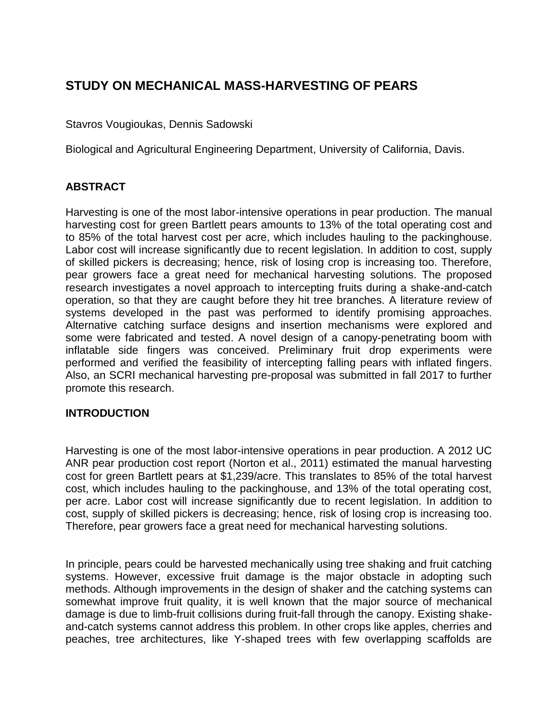# **STUDY ON MECHANICAL MASS-HARVESTING OF PEARS**

Stavros Vougioukas, Dennis Sadowski

Biological and Agricultural Engineering Department, University of California, Davis.

## **ABSTRACT**

Harvesting is one of the most labor-intensive operations in pear production. The manual harvesting cost for green Bartlett pears amounts to 13% of the total operating cost and to 85% of the total harvest cost per acre, which includes hauling to the packinghouse. Labor cost will increase significantly due to recent legislation. In addition to cost, supply of skilled pickers is decreasing; hence, risk of losing crop is increasing too. Therefore, pear growers face a great need for mechanical harvesting solutions. The proposed research investigates a novel approach to intercepting fruits during a shake-and-catch operation, so that they are caught before they hit tree branches. A literature review of systems developed in the past was performed to identify promising approaches. Alternative catching surface designs and insertion mechanisms were explored and some were fabricated and tested. A novel design of a canopy-penetrating boom with inflatable side fingers was conceived. Preliminary fruit drop experiments were performed and verified the feasibility of intercepting falling pears with inflated fingers. Also, an SCRI mechanical harvesting pre-proposal was submitted in fall 2017 to further promote this research.

#### **INTRODUCTION**

Harvesting is one of the most labor-intensive operations in pear production. A 2012 UC ANR pear production cost report (Norton et al., 2011) estimated the manual harvesting cost for green Bartlett pears at \$1,239/acre. This translates to 85% of the total harvest cost, which includes hauling to the packinghouse, and 13% of the total operating cost, per acre. Labor cost will increase significantly due to recent legislation. In addition to cost, supply of skilled pickers is decreasing; hence, risk of losing crop is increasing too. Therefore, pear growers face a great need for mechanical harvesting solutions.

In principle, pears could be harvested mechanically using tree shaking and fruit catching systems. However, excessive fruit damage is the major obstacle in adopting such methods. Although improvements in the design of shaker and the catching systems can somewhat improve fruit quality, it is well known that the major source of mechanical damage is due to limb-fruit collisions during fruit-fall through the canopy. Existing shakeand-catch systems cannot address this problem. In other crops like apples, cherries and peaches, tree architectures, like Y-shaped trees with few overlapping scaffolds are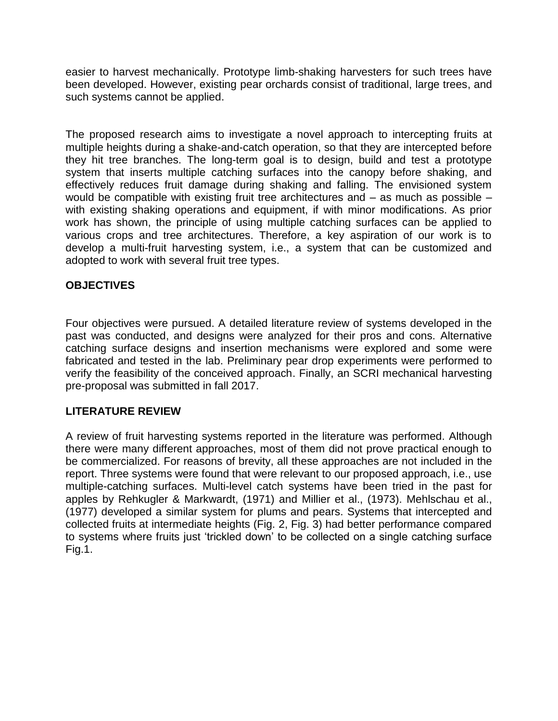easier to harvest mechanically. Prototype limb-shaking harvesters for such trees have been developed. However, existing pear orchards consist of traditional, large trees, and such systems cannot be applied.

The proposed research aims to investigate a novel approach to intercepting fruits at multiple heights during a shake-and-catch operation, so that they are intercepted before they hit tree branches. The long-term goal is to design, build and test a prototype system that inserts multiple catching surfaces into the canopy before shaking, and effectively reduces fruit damage during shaking and falling. The envisioned system would be compatible with existing fruit tree architectures and – as much as possible – with existing shaking operations and equipment, if with minor modifications. As prior work has shown, the principle of using multiple catching surfaces can be applied to various crops and tree architectures. Therefore, a key aspiration of our work is to develop a multi-fruit harvesting system, i.e., a system that can be customized and adopted to work with several fruit tree types.

## **OBJECTIVES**

Four objectives were pursued. A detailed literature review of systems developed in the past was conducted, and designs were analyzed for their pros and cons. Alternative catching surface designs and insertion mechanisms were explored and some were fabricated and tested in the lab. Preliminary pear drop experiments were performed to verify the feasibility of the conceived approach. Finally, an SCRI mechanical harvesting pre-proposal was submitted in fall 2017.

#### **LITERATURE REVIEW**

A review of fruit harvesting systems reported in the literature was performed. Although there were many different approaches, most of them did not prove practical enough to be commercialized. For reasons of brevity, all these approaches are not included in the report. Three systems were found that were relevant to our proposed approach, i.e., use multiple-catching surfaces. Multi-level catch systems have been tried in the past for apples by Rehkugler & Markwardt, (1971) and Millier et al., (1973). Mehlschau et al., (1977) developed a similar system for plums and pears. Systems that intercepted and collected fruits at intermediate heights (Fig. 2, Fig. 3) had better performance compared to systems where fruits just 'trickled down' to be collected on a single catching surface Fig.1.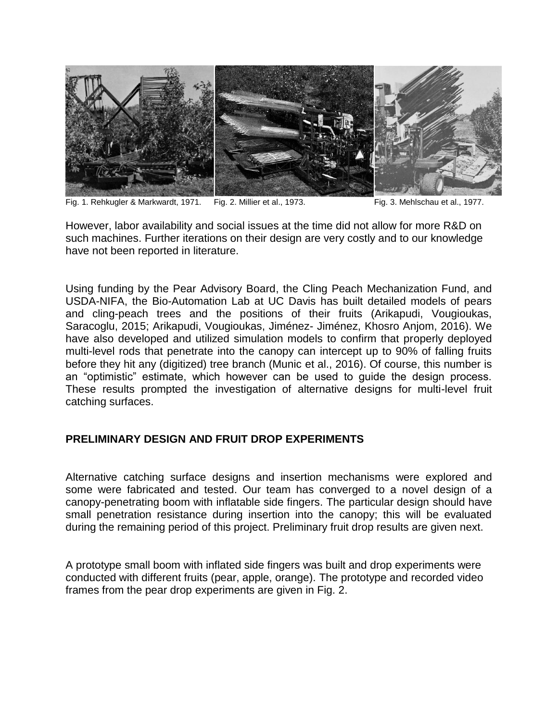

Fig. 1. Rehkugler & Markwardt, 1971. Fig. 2. Millier et al., 1973. Fig. 3. Mehlschau et al., 1977.

However, labor availability and social issues at the time did not allow for more R&D on such machines. Further iterations on their design are very costly and to our knowledge have not been reported in literature.

Using funding by the Pear Advisory Board, the Cling Peach Mechanization Fund, and USDA-NIFA, the Bio-Automation Lab at UC Davis has built detailed models of pears and cling-peach trees and the positions of their fruits (Arikapudi, Vougioukas, Saracoglu, 2015; Arikapudi, Vougioukas, Jiménez- Jiménez, Khosro Anjom, 2016). We have also developed and utilized simulation models to confirm that properly deployed multi-level rods that penetrate into the canopy can intercept up to 90% of falling fruits before they hit any (digitized) tree branch (Munic et al., 2016). Of course, this number is an "optimistic" estimate, which however can be used to guide the design process. These results prompted the investigation of alternative designs for multi-level fruit catching surfaces.

# **PRELIMINARY DESIGN AND FRUIT DROP EXPERIMENTS**

Alternative catching surface designs and insertion mechanisms were explored and some were fabricated and tested. Our team has converged to a novel design of a canopy-penetrating boom with inflatable side fingers. The particular design should have small penetration resistance during insertion into the canopy; this will be evaluated during the remaining period of this project. Preliminary fruit drop results are given next.

A prototype small boom with inflated side fingers was built and drop experiments were conducted with different fruits (pear, apple, orange). The prototype and recorded video frames from the pear drop experiments are given in Fig. 2.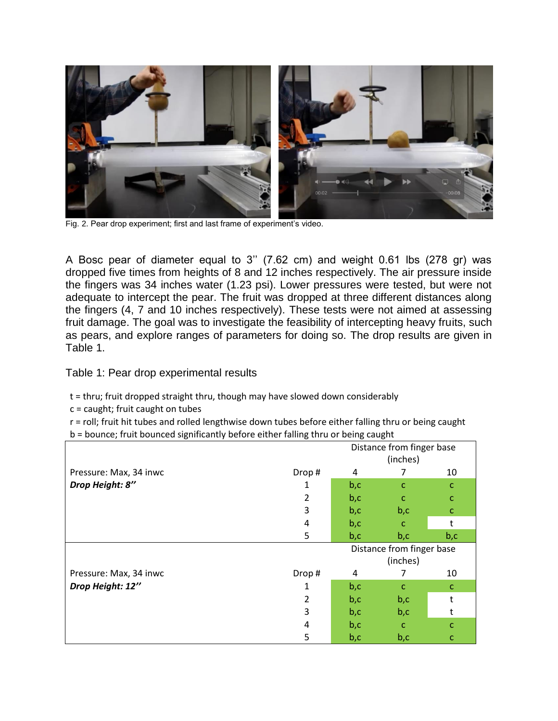

Fig. 2. Pear drop experiment; first and last frame of experiment's video.

A Bosc pear of diameter equal to 3'' (7.62 cm) and weight 0.61 lbs (278 gr) was dropped five times from heights of 8 and 12 inches respectively. The air pressure inside the fingers was 34 inches water (1.23 psi). Lower pressures were tested, but were not adequate to intercept the pear. The fruit was dropped at three different distances along the fingers (4, 7 and 10 inches respectively). These tests were not aimed at assessing fruit damage. The goal was to investigate the feasibility of intercepting heavy fruits, such as pears, and explore ranges of parameters for doing so. The drop results are given in Table 1.

Table 1: Pear drop experimental results

t = thru; fruit dropped straight thru, though may have slowed down considerably

c = caught; fruit caught on tubes

r = roll; fruit hit tubes and rolled lengthwise down tubes before either falling thru or being caught

b = bounce; fruit bounced significantly before either falling thru or being caught

|                        |                                       | Distance from finger base<br>(inches) |              |              |
|------------------------|---------------------------------------|---------------------------------------|--------------|--------------|
| Pressure: Max, 34 inwc | Drop#                                 | 4                                     |              | 10           |
| Drop Height: 8"        |                                       | b, c                                  | $\mathsf{C}$ | $\mathsf{C}$ |
|                        | 2                                     | b, c                                  | $\mathsf{C}$ | $\mathsf{C}$ |
|                        | 3                                     | b, c                                  | b, c         | $\mathbf{C}$ |
|                        | 4                                     | b, c                                  | $\mathsf{C}$ | t            |
|                        | 5                                     | b, c                                  | b, c         | b, c         |
|                        | Distance from finger base<br>(inches) |                                       |              |              |
| Pressure: Max, 34 inwc | Drop#                                 | 4                                     |              | 10           |
| Drop Height: 12"       |                                       | b, c                                  | $\mathsf{C}$ | C            |
|                        | 2                                     | b, c                                  | b,c          |              |
|                        | 3                                     | b, c                                  | b,c          |              |
|                        | 4                                     | b, c                                  | $\mathsf{C}$ | C            |
|                        | 5                                     | b, c                                  | b,c          | C            |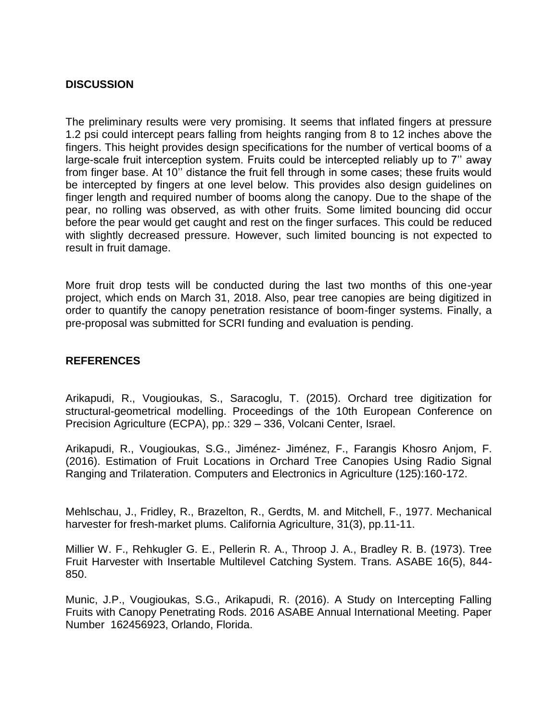#### **DISCUSSION**

The preliminary results were very promising. It seems that inflated fingers at pressure 1.2 psi could intercept pears falling from heights ranging from 8 to 12 inches above the fingers. This height provides design specifications for the number of vertical booms of a large-scale fruit interception system. Fruits could be intercepted reliably up to 7'' away from finger base. At 10'' distance the fruit fell through in some cases; these fruits would be intercepted by fingers at one level below. This provides also design guidelines on finger length and required number of booms along the canopy. Due to the shape of the pear, no rolling was observed, as with other fruits. Some limited bouncing did occur before the pear would get caught and rest on the finger surfaces. This could be reduced with slightly decreased pressure. However, such limited bouncing is not expected to result in fruit damage.

More fruit drop tests will be conducted during the last two months of this one-year project, which ends on March 31, 2018. Also, pear tree canopies are being digitized in order to quantify the canopy penetration resistance of boom-finger systems. Finally, a pre-proposal was submitted for SCRI funding and evaluation is pending.

#### **REFERENCES**

Arikapudi, R., Vougioukas, S., Saracoglu, T. (2015). Orchard tree digitization for structural-geometrical modelling. Proceedings of the 10th European Conference on Precision Agriculture (ECPA), pp.: 329 – 336, Volcani Center, Israel.

Arikapudi, R., Vougioukas, S.G., Jiménez- Jiménez, F., Farangis Khosro Anjom, F. (2016). Estimation of Fruit Locations in Orchard Tree Canopies Using Radio Signal Ranging and Trilateration. Computers and Electronics in Agriculture (125):160-172.

Mehlschau, J., Fridley, R., Brazelton, R., Gerdts, M. and Mitchell, F., 1977. Mechanical harvester for fresh-market plums. California Agriculture, 31(3), pp.11-11.

Millier W. F., Rehkugler G. E., Pellerin R. A., Throop J. A., Bradley R. B. (1973). Tree Fruit Harvester with Insertable Multilevel Catching System. Trans. ASABE 16(5), 844- 850.

Munic, J.P., Vougioukas, S.G., Arikapudi, R. (2016). A Study on Intercepting Falling Fruits with Canopy Penetrating Rods. 2016 ASABE Annual International Meeting. Paper Number 162456923, Orlando, Florida.